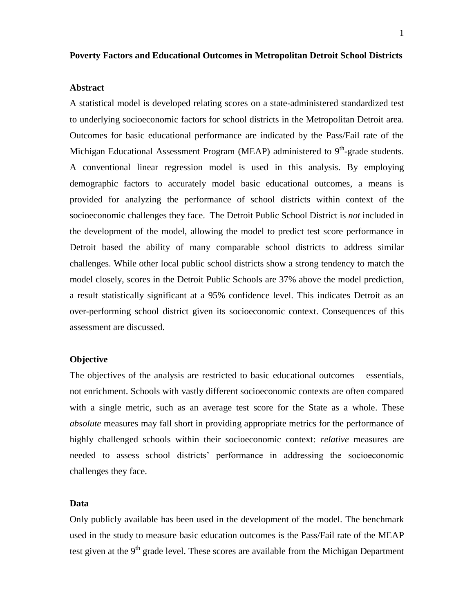## **Poverty Factors and Educational Outcomes in Metropolitan Detroit School Districts**

### **Abstract**

A statistical model is developed relating scores on a state-administered standardized test to underlying socioeconomic factors for school districts in the Metropolitan Detroit area. Outcomes for basic educational performance are indicated by the Pass/Fail rate of the Michigan Educational Assessment Program (MEAP) administered to 9<sup>th</sup>-grade students. A conventional linear regression model is used in this analysis. By employing demographic factors to accurately model basic educational outcomes, a means is provided for analyzing the performance of school districts within context of the socioeconomic challenges they face. The Detroit Public School District is *not* included in the development of the model, allowing the model to predict test score performance in Detroit based the ability of many comparable school districts to address similar challenges. While other local public school districts show a strong tendency to match the model closely, scores in the Detroit Public Schools are 37% above the model prediction, a result statistically significant at a 95% confidence level. This indicates Detroit as an over-performing school district given its socioeconomic context. Consequences of this assessment are discussed.

### **Objective**

The objectives of the analysis are restricted to basic educational outcomes – essentials, not enrichment. Schools with vastly different socioeconomic contexts are often compared with a single metric, such as an average test score for the State as a whole. These *absolute* measures may fall short in providing appropriate metrics for the performance of highly challenged schools within their socioeconomic context: *relative* measures are needed to assess school districts' performance in addressing the socioeconomic challenges they face.

### **Data**

Only publicly available has been used in the development of the model. The benchmark used in the study to measure basic education outcomes is the Pass/Fail rate of the MEAP test given at the  $9<sup>th</sup>$  grade level. These scores are available from the Michigan Department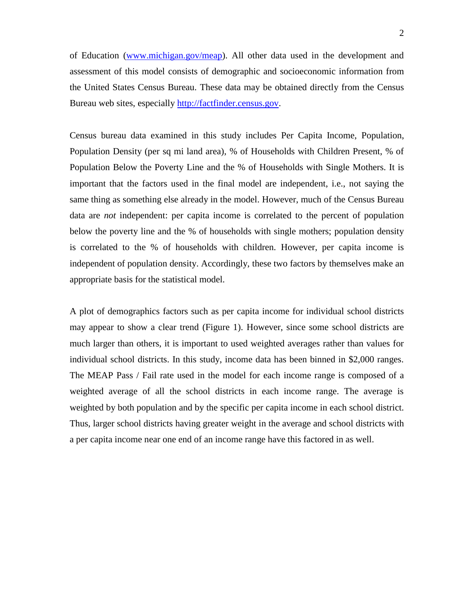of Education [\(www.michigan.gov/meap\)](http://michigan.gov/mde/0,1607,7-140-22709_31168_40135---,00.html). All other data used in the development and assessment of this model consists of demographic and socioeconomic information from the United States Census Bureau. These data may be obtained directly from the Census Bureau web sites, especially [http://factfinder.census.gov.](http://factfinder.census.gov/)

Census bureau data examined in this study includes Per Capita Income, Population, Population Density (per sq mi land area), % of Households with Children Present, % of Population Below the Poverty Line and the % of Households with Single Mothers. It is important that the factors used in the final model are independent, i.e., not saying the same thing as something else already in the model. However, much of the Census Bureau data are *not* independent: per capita income is correlated to the percent of population below the poverty line and the % of households with single mothers; population density is correlated to the % of households with children. However, per capita income is independent of population density. Accordingly, these two factors by themselves make an appropriate basis for the statistical model.

A plot of demographics factors such as per capita income for individual school districts may appear to show a clear trend (Figure 1). However, since some school districts are much larger than others, it is important to used weighted averages rather than values for individual school districts. In this study, income data has been binned in \$2,000 ranges. The MEAP Pass / Fail rate used in the model for each income range is composed of a weighted average of all the school districts in each income range. The average is weighted by both population and by the specific per capita income in each school district. Thus, larger school districts having greater weight in the average and school districts with a per capita income near one end of an income range have this factored in as well.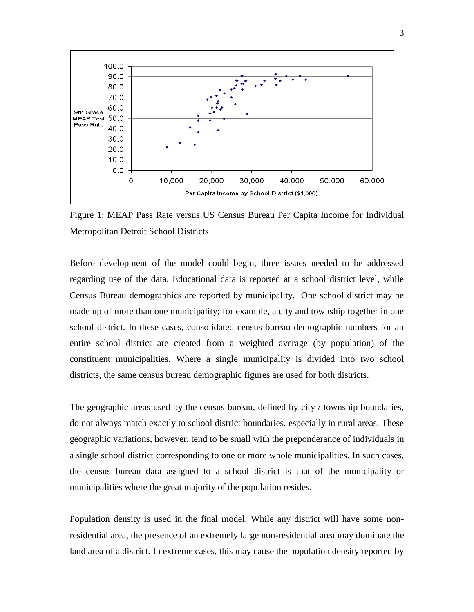

Figure 1: MEAP Pass Rate versus US Census Bureau Per Capita Income for Individual Metropolitan Detroit School Districts

Before development of the model could begin, three issues needed to be addressed regarding use of the data. Educational data is reported at a school district level, while Census Bureau demographics are reported by municipality. One school district may be made up of more than one municipality; for example, a city and township together in one school district. In these cases, consolidated census bureau demographic numbers for an entire school district are created from a weighted average (by population) of the constituent municipalities. Where a single municipality is divided into two school districts, the same census bureau demographic figures are used for both districts.

The geographic areas used by the census bureau, defined by city / township boundaries, do not always match exactly to school district boundaries, especially in rural areas. These geographic variations, however, tend to be small with the preponderance of individuals in a single school district corresponding to one or more whole municipalities. In such cases, the census bureau data assigned to a school district is that of the municipality or municipalities where the great majority of the population resides.

Population density is used in the final model. While any district will have some nonresidential area, the presence of an extremely large non-residential area may dominate the land area of a district. In extreme cases, this may cause the population density reported by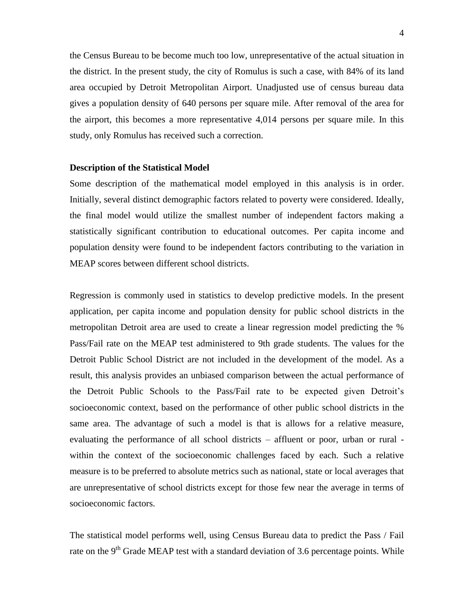the Census Bureau to be become much too low, unrepresentative of the actual situation in the district. In the present study, the city of Romulus is such a case, with 84% of its land area occupied by Detroit Metropolitan Airport. Unadjusted use of census bureau data gives a population density of 640 persons per square mile. After removal of the area for the airport, this becomes a more representative 4,014 persons per square mile. In this study, only Romulus has received such a correction.

### **Description of the Statistical Model**

Some description of the mathematical model employed in this analysis is in order. Initially, several distinct demographic factors related to poverty were considered. Ideally, the final model would utilize the smallest number of independent factors making a statistically significant contribution to educational outcomes. Per capita income and population density were found to be independent factors contributing to the variation in MEAP scores between different school districts.

Regression is commonly used in statistics to develop predictive models. In the present application, per capita income and population density for public school districts in the metropolitan Detroit area are used to create a linear regression model predicting the % Pass/Fail rate on the MEAP test administered to 9th grade students. The values for the Detroit Public School District are not included in the development of the model. As a result, this analysis provides an unbiased comparison between the actual performance of the Detroit Public Schools to the Pass/Fail rate to be expected given Detroit's socioeconomic context, based on the performance of other public school districts in the same area. The advantage of such a model is that is allows for a relative measure, evaluating the performance of all school districts – affluent or poor, urban or rural within the context of the socioeconomic challenges faced by each. Such a relative measure is to be preferred to absolute metrics such as national, state or local averages that are unrepresentative of school districts except for those few near the average in terms of socioeconomic factors.

The statistical model performs well, using Census Bureau data to predict the Pass / Fail rate on the  $9<sup>th</sup>$  Grade MEAP test with a standard deviation of 3.6 percentage points. While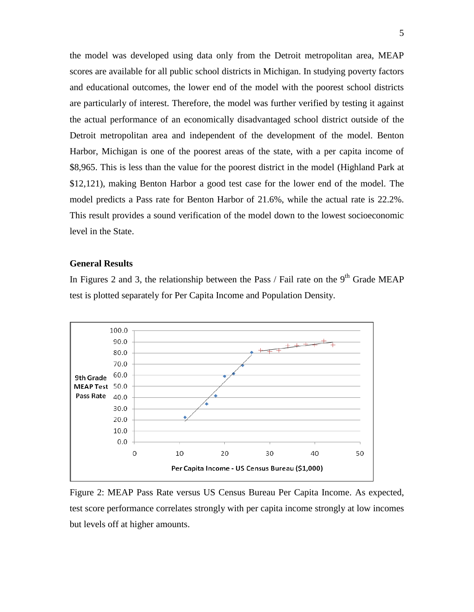the model was developed using data only from the Detroit metropolitan area, MEAP scores are available for all public school districts in Michigan. In studying poverty factors and educational outcomes, the lower end of the model with the poorest school districts are particularly of interest. Therefore, the model was further verified by testing it against the actual performance of an economically disadvantaged school district outside of the Detroit metropolitan area and independent of the development of the model. Benton Harbor, Michigan is one of the poorest areas of the state, with a per capita income of \$8,965. This is less than the value for the poorest district in the model (Highland Park at \$12,121), making Benton Harbor a good test case for the lower end of the model. The model predicts a Pass rate for Benton Harbor of 21.6%, while the actual rate is 22.2%. This result provides a sound verification of the model down to the lowest socioeconomic level in the State.

# **General Results**

In Figures 2 and 3, the relationship between the Pass / Fail rate on the  $9<sup>th</sup>$  Grade MEAP test is plotted separately for Per Capita Income and Population Density.



Figure 2: MEAP Pass Rate versus US Census Bureau Per Capita Income. As expected, test score performance correlates strongly with per capita income strongly at low incomes but levels off at higher amounts.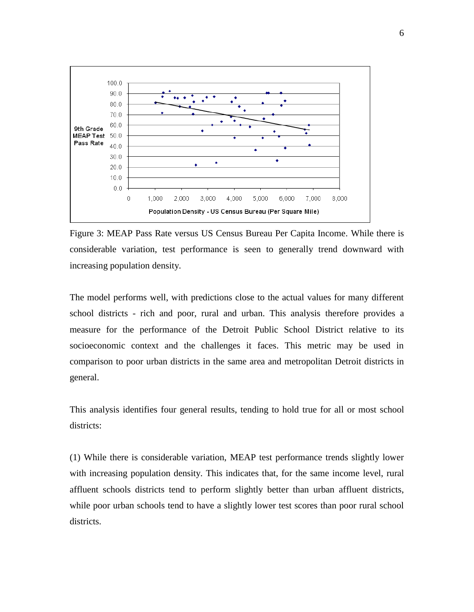

Figure 3: MEAP Pass Rate versus US Census Bureau Per Capita Income. While there is considerable variation, test performance is seen to generally trend downward with increasing population density.

The model performs well, with predictions close to the actual values for many different school districts - rich and poor, rural and urban. This analysis therefore provides a measure for the performance of the Detroit Public School District relative to its socioeconomic context and the challenges it faces. This metric may be used in comparison to poor urban districts in the same area and metropolitan Detroit districts in general.

This analysis identifies four general results, tending to hold true for all or most school districts:

(1) While there is considerable variation, MEAP test performance trends slightly lower with increasing population density. This indicates that, for the same income level, rural affluent schools districts tend to perform slightly better than urban affluent districts, while poor urban schools tend to have a slightly lower test scores than poor rural school districts.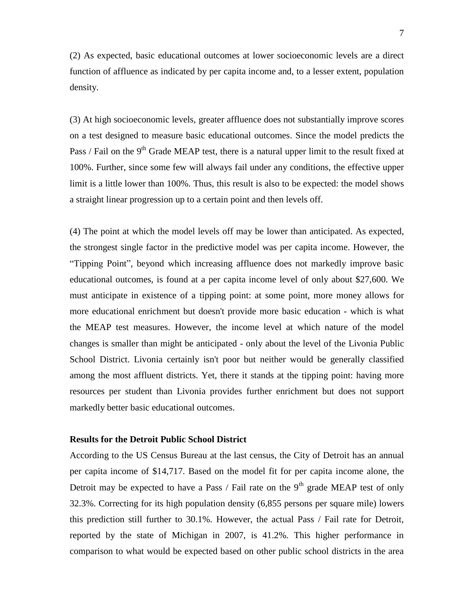(2) As expected, basic educational outcomes at lower socioeconomic levels are a direct function of affluence as indicated by per capita income and, to a lesser extent, population density.

(3) At high socioeconomic levels, greater affluence does not substantially improve scores on a test designed to measure basic educational outcomes. Since the model predicts the Pass / Fail on the 9<sup>th</sup> Grade MEAP test, there is a natural upper limit to the result fixed at 100%. Further, since some few will always fail under any conditions, the effective upper limit is a little lower than 100%. Thus, this result is also to be expected: the model shows a straight linear progression up to a certain point and then levels off.

(4) The point at which the model levels off may be lower than anticipated. As expected, the strongest single factor in the predictive model was per capita income. However, the "Tipping Point", beyond which increasing affluence does not markedly improve basic educational outcomes, is found at a per capita income level of only about \$27,600. We must anticipate in existence of a tipping point: at some point, more money allows for more educational enrichment but doesn't provide more basic education - which is what the MEAP test measures. However, the income level at which nature of the model changes is smaller than might be anticipated - only about the level of the Livonia Public School District. Livonia certainly isn't poor but neither would be generally classified among the most affluent districts. Yet, there it stands at the tipping point: having more resources per student than Livonia provides further enrichment but does not support markedly better basic educational outcomes.

## **Results for the Detroit Public School District**

According to the US Census Bureau at the last census, the City of Detroit has an annual per capita income of \$14,717. Based on the model fit for per capita income alone, the Detroit may be expected to have a Pass / Fail rate on the  $9<sup>th</sup>$  grade MEAP test of only 32.3%. Correcting for its high population density (6,855 persons per square mile) lowers this prediction still further to 30.1%. However, the actual Pass / Fail rate for Detroit, reported by the state of Michigan in 2007, is 41.2%. This higher performance in comparison to what would be expected based on other public school districts in the area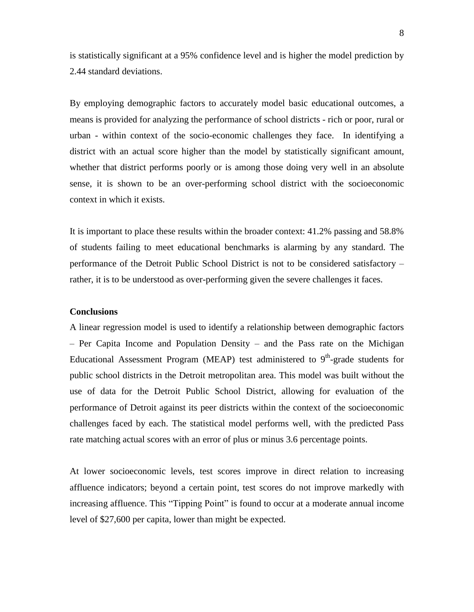is statistically significant at a 95% confidence level and is higher the model prediction by 2.44 standard deviations.

By employing demographic factors to accurately model basic educational outcomes, a means is provided for analyzing the performance of school districts - rich or poor, rural or urban - within context of the socio-economic challenges they face. In identifying a district with an actual score higher than the model by statistically significant amount, whether that district performs poorly or is among those doing very well in an absolute sense, it is shown to be an over-performing school district with the socioeconomic context in which it exists.

It is important to place these results within the broader context: 41.2% passing and 58.8% of students failing to meet educational benchmarks is alarming by any standard. The performance of the Detroit Public School District is not to be considered satisfactory – rather, it is to be understood as over-performing given the severe challenges it faces.

# **Conclusions**

A linear regression model is used to identify a relationship between demographic factors – Per Capita Income and Population Density – and the Pass rate on the Michigan Educational Assessment Program (MEAP) test administered to  $9<sup>th</sup>$ -grade students for public school districts in the Detroit metropolitan area. This model was built without the use of data for the Detroit Public School District, allowing for evaluation of the performance of Detroit against its peer districts within the context of the socioeconomic challenges faced by each. The statistical model performs well, with the predicted Pass rate matching actual scores with an error of plus or minus 3.6 percentage points.

At lower socioeconomic levels, test scores improve in direct relation to increasing affluence indicators; beyond a certain point, test scores do not improve markedly with increasing affluence. This "Tipping Point" is found to occur at a moderate annual income level of \$27,600 per capita, lower than might be expected.